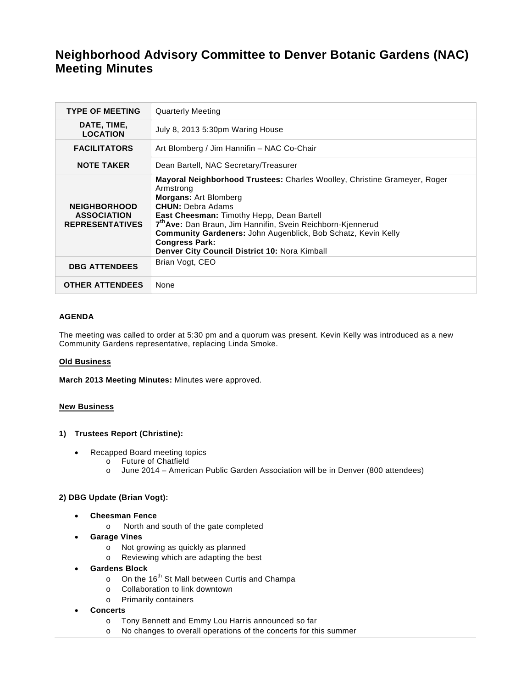# **Neighborhood Advisory Committee to Denver Botanic Gardens (NAC) Meeting Minutes**

| <b>TYPE OF MEETING</b>                                              | <b>Quarterly Meeting</b>                                                                                                                                                                                                                                                                                                                                                                                                            |
|---------------------------------------------------------------------|-------------------------------------------------------------------------------------------------------------------------------------------------------------------------------------------------------------------------------------------------------------------------------------------------------------------------------------------------------------------------------------------------------------------------------------|
| DATE, TIME,<br><b>LOCATION</b>                                      | July 8, 2013 5:30pm Waring House                                                                                                                                                                                                                                                                                                                                                                                                    |
| <b>FACILITATORS</b>                                                 | Art Blomberg / Jim Hannifin – NAC Co-Chair                                                                                                                                                                                                                                                                                                                                                                                          |
| <b>NOTE TAKER</b>                                                   | Dean Bartell, NAC Secretary/Treasurer                                                                                                                                                                                                                                                                                                                                                                                               |
| <b>NEIGHBORHOOD</b><br><b>ASSOCIATION</b><br><b>REPRESENTATIVES</b> | <b>Mayoral Neighborhood Trustees:</b> Charles Woolley, Christine Grameyer, Roger<br>Armstrong<br><b>Morgans: Art Blomberg</b><br><b>CHUN: Debra Adams</b><br><b>East Cheesman: Timothy Hepp, Dean Bartell</b><br>7 <sup>th</sup> Ave: Dan Braun, Jim Hannifin, Svein Reichborn-Kjennerud<br>Community Gardeners: John Augenblick, Bob Schatz, Kevin Kelly<br><b>Congress Park:</b><br>Denver City Council District 10: Nora Kimball |
| <b>DBG ATTENDEES</b>                                                | Brian Vogt, CEO                                                                                                                                                                                                                                                                                                                                                                                                                     |
| <b>OTHER ATTENDEES</b>                                              | None                                                                                                                                                                                                                                                                                                                                                                                                                                |

#### **AGENDA**

The meeting was called to order at 5:30 pm and a quorum was present. Kevin Kelly was introduced as a new Community Gardens representative, replacing Linda Smoke.

#### **Old Business**

**March 2013 Meeting Minutes:** Minutes were approved.

#### **New Business**

#### **1) Trustees Report (Christine):**

- Recapped Board meeting topics
	- o Future of Chatfield
	- o June 2014 American Public Garden Association will be in Denver (800 attendees)

# **2) DBG Update (Brian Vogt):**

- **Cheesman Fence** 
	- o North and south of the gate completed
- **Garage Vines** 
	- o Not growing as quickly as planned
	- o Reviewing which are adapting the best
- **Gardens Block** 
	- $\circ$  On the 16<sup>th</sup> St Mall between Curtis and Champa
	- o Collaboration to link downtown
	- o Primarily containers
- **Concerts** 
	- o Tony Bennett and Emmy Lou Harris announced so far
	- o No changes to overall operations of the concerts for this summer